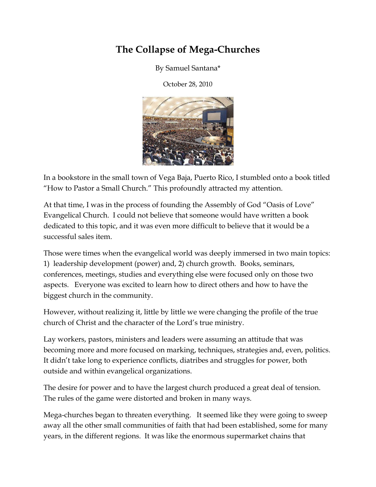## The Collapse of Mega-Churches

By Samuel Santana\*

October 28, 2010



In a bookstore in the small town of Vega Baja, Puerto Rico, I stumbled onto a book titled "How to Pastor a Small Church." This profoundly attracted my attention.

At that time, I was in the process of founding the Assembly of God "Oasis of Love" Evangelical Church. I could not believe that someone would have written a book dedicated to this topic, and it was even more difficult to believe that it would be a successful sales item.

Those were times when the evangelical world was deeply immersed in two main topics: 1) leadership development (power) and, 2) church growth. Books, seminars, conferences, meetings, studies and everything else were focused only on those two aspects. Everyone was excited to learn how to direct others and how to have the biggest church in the community.

However, without realizing it, little by little we were changing the profile of the true church of Christ and the character of the Lord's true ministry.

Lay workers, pastors, ministers and leaders were assuming an attitude that was becoming more and more focused on marking, techniques, strategies and, even, politics. It didn't take long to experience conflicts, diatribes and struggles for power, both outside and within evangelical organizations.

The desire for power and to have the largest church produced a great deal of tension. The rules of the game were distorted and broken in many ways.

Mega-churches began to threaten everything. It seemed like they were going to sweep away all the other small communities of faith that had been established, some for many years, in the different regions. It was like the enormous supermarket chains that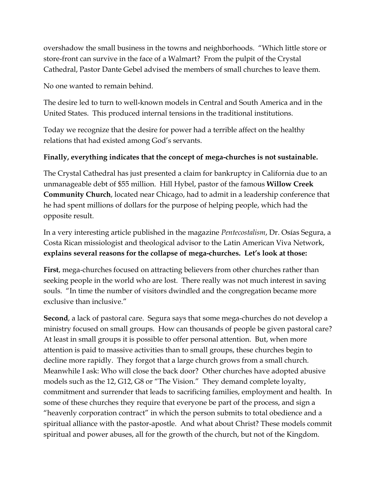overshadow the small business in the towns and neighborhoods. "Which little store or store-front can survive in the face of a Walmart? From the pulpit of the Crystal Cathedral, Pastor Dante Gebel advised the members of small churches to leave them.

No one wanted to remain behind.

The desire led to turn to well-known models in Central and South America and in the United States. This produced internal tensions in the traditional institutions.

Today we recognize that the desire for power had a terrible affect on the healthy relations that had existed among God's servants.

## Finally, everything indicates that the concept of mega-churches is not sustainable.

The Crystal Cathedral has just presented a claim for bankruptcy in California due to an unmanageable debt of \$55 million. Hill Hybel, pastor of the famous Willow Creek Community Church, located near Chicago, had to admit in a leadership conference that he had spent millions of dollars for the purpose of helping people, which had the opposite result.

In a very interesting article published in the magazine Pentecostalism, Dr. Osías Segura, a Costa Rican missiologist and theological advisor to the Latin American Viva Network, explains several reasons for the collapse of mega-churches. Let's look at those:

First, mega-churches focused on attracting believers from other churches rather than seeking people in the world who are lost. There really was not much interest in saving souls. "In time the number of visitors dwindled and the congregation became more exclusive than inclusive."

Second, a lack of pastoral care. Segura says that some mega-churches do not develop a ministry focused on small groups. How can thousands of people be given pastoral care? At least in small groups it is possible to offer personal attention. But, when more attention is paid to massive activities than to small groups, these churches begin to decline more rapidly. They forgot that a large church grows from a small church. Meanwhile I ask: Who will close the back door? Other churches have adopted abusive models such as the 12, G12, G8 or "The Vision." They demand complete loyalty, commitment and surrender that leads to sacrificing families, employment and health. In some of these churches they require that everyone be part of the process, and sign a "heavenly corporation contract" in which the person submits to total obedience and a spiritual alliance with the pastor-apostle. And what about Christ? These models commit spiritual and power abuses, all for the growth of the church, but not of the Kingdom.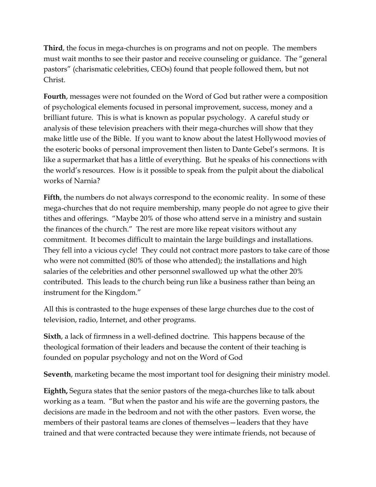Third, the focus in mega-churches is on programs and not on people. The members must wait months to see their pastor and receive counseling or guidance. The "general pastors" (charismatic celebrities, CEOs) found that people followed them, but not Christ.

Fourth, messages were not founded on the Word of God but rather were a composition of psychological elements focused in personal improvement, success, money and a brilliant future. This is what is known as popular psychology. A careful study or analysis of these television preachers with their mega-churches will show that they make little use of the Bible. If you want to know about the latest Hollywood movies of the esoteric books of personal improvement then listen to Dante Gebel's sermons. It is like a supermarket that has a little of everything. But he speaks of his connections with the world's resources. How is it possible to speak from the pulpit about the diabolical works of Narnia?

Fifth, the numbers do not always correspond to the economic reality. In some of these mega-churches that do not require membership, many people do not agree to give their tithes and offerings. "Maybe 20% of those who attend serve in a ministry and sustain the finances of the church." The rest are more like repeat visitors without any commitment. It becomes difficult to maintain the large buildings and installations. They fell into a vicious cycle! They could not contract more pastors to take care of those who were not committed (80% of those who attended); the installations and high salaries of the celebrities and other personnel swallowed up what the other 20% contributed. This leads to the church being run like a business rather than being an instrument for the Kingdom."

All this is contrasted to the huge expenses of these large churches due to the cost of television, radio, Internet, and other programs.

Sixth, a lack of firmness in a well-defined doctrine. This happens because of the theological formation of their leaders and because the content of their teaching is founded on popular psychology and not on the Word of God

Seventh, marketing became the most important tool for designing their ministry model.

Eighth, Segura states that the senior pastors of the mega-churches like to talk about working as a team. "But when the pastor and his wife are the governing pastors, the decisions are made in the bedroom and not with the other pastors. Even worse, the members of their pastoral teams are clones of themselves—leaders that they have trained and that were contracted because they were intimate friends, not because of